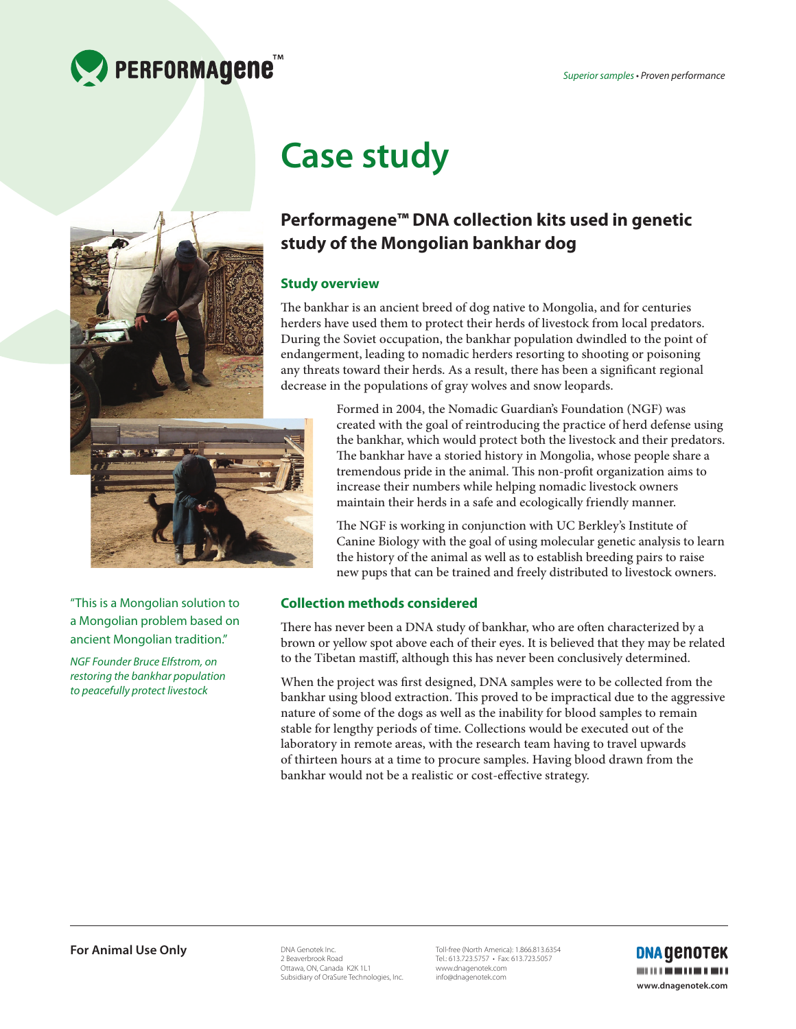



"This is a Mongolian solution to a Mongolian problem based on ancient Mongolian tradition."

*NGF Founder Bruce Elfstrom, on restoring the bankhar population to peacefully protect livestock* 

# **Case study**

# **Performagene™ DNA collection kits used in genetic study of the Mongolian bankhar dog**

# **Study overview**

The bankhar is an ancient breed of dog native to Mongolia, and for centuries herders have used them to protect their herds of livestock from local predators. During the Soviet occupation, the bankhar population dwindled to the point of endangerment, leading to nomadic herders resorting to shooting or poisoning any threats toward their herds. As a result, there has been a significant regional decrease in the populations of gray wolves and snow leopards.

> Formed in 2004, the Nomadic Guardian's Foundation (NGF) was created with the goal of reintroducing the practice of herd defense using the bankhar, which would protect both the livestock and their predators. The bankhar have a storied history in Mongolia, whose people share a tremendous pride in the animal. This non-profit organization aims to increase their numbers while helping nomadic livestock owners maintain their herds in a safe and ecologically friendly manner.

> The NGF is working in conjunction with UC Berkley's Institute of Canine Biology with the goal of using molecular genetic analysis to learn the history of the animal as well as to establish breeding pairs to raise new pups that can be trained and freely distributed to livestock owners.

# **Collection methods considered**

There has never been a DNA study of bankhar, who are often characterized by a brown or yellow spot above each of their eyes. It is believed that they may be related to the Tibetan mastiff, although this has never been conclusively determined.

When the project was first designed, DNA samples were to be collected from the bankhar using blood extraction. This proved to be impractical due to the aggressive nature of some of the dogs as well as the inability for blood samples to remain stable for lengthy periods of time. Collections would be executed out of the laboratory in remote areas, with the research team having to travel upwards of thirteen hours at a time to procure samples. Having blood drawn from the bankhar would not be a realistic or cost-effective strategy.

DNA Genotek Inc. 2 Beaverbrook Road Ottawa, ON, Canada K2K 1L1 Subsidiary of OraSure Technologies, Inc.

Toll-free (North America): 1.866.813.6354 Tel.: 613.723.5757 • Fax: 613.723.5057 www.dnagenotek.com info@dnagenotek.com